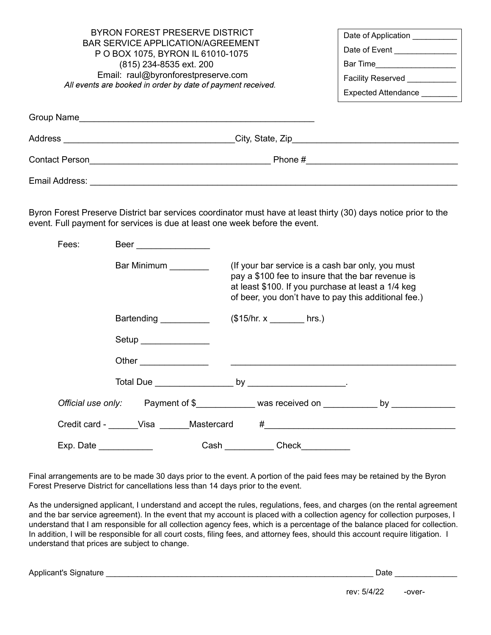| BYRON FOREST PRESERVE DISTRICT<br>BAR SERVICE APPLICATION/AGREEMENT<br>P O BOX 1075, BYRON IL 61010-1075<br>(815) 234-8535 ext. 200<br>Email: raul@byronforestpreserve.com<br>All events are booked in order by date of payment received. | Date of Application _________<br>Date of Event ______________<br>Bar Time _____________________<br>Facility Reserved<br>Expected Attendance |  |
|-------------------------------------------------------------------------------------------------------------------------------------------------------------------------------------------------------------------------------------------|---------------------------------------------------------------------------------------------------------------------------------------------|--|
| Group Name                                                                                                                                                                                                                                |                                                                                                                                             |  |
| Address                                                                                                                                                                                                                                   | City, State, Zip <b>Example 20</b>                                                                                                          |  |
| <b>Contact Person</b>                                                                                                                                                                                                                     | Phone #                                                                                                                                     |  |
| Email Address:                                                                                                                                                                                                                            |                                                                                                                                             |  |

Byron Forest Preserve District bar services coordinator must have at least thirty (30) days notice prior to the event. Full payment for services is due at least one week before the event.

| Fees: | <b>Beer Exercise Exercise Security</b> |                  |                                                                                                                                                                                                                      |                                                                                          |
|-------|----------------------------------------|------------------|----------------------------------------------------------------------------------------------------------------------------------------------------------------------------------------------------------------------|------------------------------------------------------------------------------------------|
|       | Bar Minimum                            |                  | (If your bar service is a cash bar only, you must<br>pay a \$100 fee to insure that the bar revenue is<br>at least \$100. If you purchase at least a 1/4 keg<br>of beer, you don't have to pay this additional fee.) |                                                                                          |
|       | Bartending ___________                 |                  | $($15/hr. x$ hrs.)                                                                                                                                                                                                   |                                                                                          |
|       | Setup _______________                  |                  |                                                                                                                                                                                                                      |                                                                                          |
|       |                                        |                  |                                                                                                                                                                                                                      |                                                                                          |
|       |                                        |                  |                                                                                                                                                                                                                      |                                                                                          |
|       |                                        |                  |                                                                                                                                                                                                                      | Official use only: Payment of \$____________ was received on ____________ by ___________ |
|       | Credit card - Visa Mastercard          |                  |                                                                                                                                                                                                                      |                                                                                          |
|       |                                        | <b>Cash Cash</b> | <b>Check Check</b>                                                                                                                                                                                                   |                                                                                          |

Final arrangements are to be made 30 days prior to the event. A portion of the paid fees may be retained by the Byron Forest Preserve District for cancellations less than 14 days prior to the event.

As the undersigned applicant, I understand and accept the rules, regulations, fees, and charges (on the rental agreement and the bar service agreement). In the event that my account is placed with a collection agency for collection purposes, I understand that I am responsible for all collection agency fees, which is a percentage of the balance placed for collection. In addition, I will be responsible for all court costs, filing fees, and attorney fees, should this account require litigation. I understand that prices are subject to change.

Applicant's Signature \_\_\_\_\_\_\_\_\_\_\_\_\_\_\_\_\_\_\_\_\_\_\_\_\_\_\_\_\_\_\_\_\_\_\_\_\_\_\_\_\_\_\_\_\_\_\_\_\_\_\_\_\_\_\_\_\_\_\_\_ Date \_\_\_\_\_\_\_\_\_\_\_\_\_\_